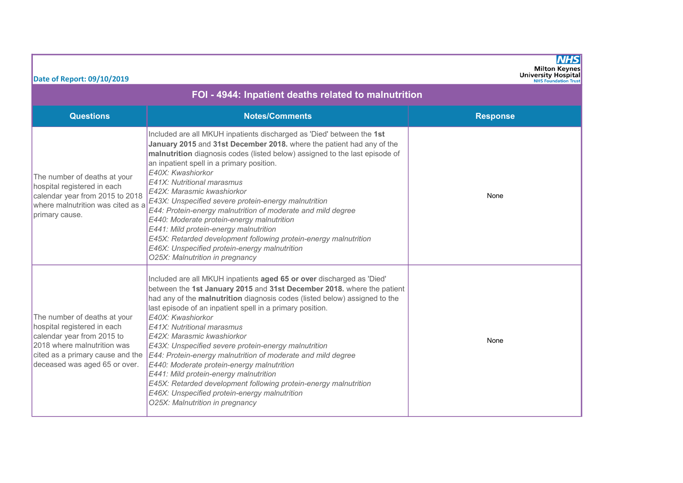| Date of Report: 09/10/2019                                                                                                                                                                    |                                                                                                                                                                                                                                                                                                                                                                                                                                                                                                                                                                                                                                                                                                                                                     | NHS<br><b>Milton Keynes</b><br><b>University Hospital</b><br><b>NHS Foundation Trust</b> |  |  |  |  |  |
|-----------------------------------------------------------------------------------------------------------------------------------------------------------------------------------------------|-----------------------------------------------------------------------------------------------------------------------------------------------------------------------------------------------------------------------------------------------------------------------------------------------------------------------------------------------------------------------------------------------------------------------------------------------------------------------------------------------------------------------------------------------------------------------------------------------------------------------------------------------------------------------------------------------------------------------------------------------------|------------------------------------------------------------------------------------------|--|--|--|--|--|
| FOI - 4944: Inpatient deaths related to malnutrition                                                                                                                                          |                                                                                                                                                                                                                                                                                                                                                                                                                                                                                                                                                                                                                                                                                                                                                     |                                                                                          |  |  |  |  |  |
| <b>Questions</b>                                                                                                                                                                              | <b>Notes/Comments</b>                                                                                                                                                                                                                                                                                                                                                                                                                                                                                                                                                                                                                                                                                                                               | <b>Response</b>                                                                          |  |  |  |  |  |
| The number of deaths at your<br>hospital registered in each<br>calendar year from 2015 to 2018<br>where malnutrition was cited as a<br>primary cause.                                         | Included are all MKUH inpatients discharged as 'Died' between the 1st<br>January 2015 and 31st December 2018. where the patient had any of the<br>malnutrition diagnosis codes (listed below) assigned to the last episode of<br>an inpatient spell in a primary position.<br>E40X: Kwashiorkor<br>E41X: Nutritional marasmus<br>E42X: Marasmic kwashiorkor<br>E43X: Unspecified severe protein-energy malnutrition<br>E44: Protein-energy malnutrition of moderate and mild degree<br>E440: Moderate protein-energy malnutrition<br>E441: Mild protein-energy malnutrition<br>E45X: Retarded development following protein-energy malnutrition<br>E46X: Unspecified protein-energy malnutrition<br>O25X: Malnutrition in pregnancy                 | None                                                                                     |  |  |  |  |  |
| The number of deaths at your<br>hospital registered in each<br>calendar year from 2015 to<br>2018 where malnutrition was<br>cited as a primary cause and the<br>deceased was aged 65 or over. | Included are all MKUH inpatients aged 65 or over discharged as 'Died'<br>between the 1st January 2015 and 31st December 2018. where the patient<br>had any of the malnutrition diagnosis codes (listed below) assigned to the<br>last episode of an inpatient spell in a primary position.<br>E40X: Kwashiorkor<br>E41X: Nutritional marasmus<br>E42X: Marasmic kwashiorkor<br>E43X: Unspecified severe protein-energy malnutrition<br>E44: Protein-energy malnutrition of moderate and mild degree<br>E440: Moderate protein-energy malnutrition<br>E441: Mild protein-energy malnutrition<br>E45X: Retarded development following protein-energy malnutrition<br>E46X: Unspecified protein-energy malnutrition<br>O25X: Malnutrition in pregnancy | None                                                                                     |  |  |  |  |  |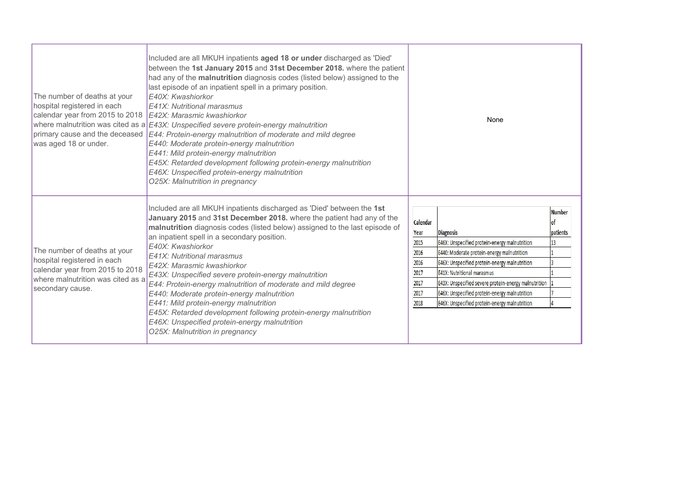| The number of deaths at your<br>hospital registered in each<br>calendar year from 2015 to 2018<br>was aged 18 or under.                                 | Included are all MKUH inpatients aged 18 or under discharged as 'Died'<br>between the 1st January 2015 and 31st December 2018. where the patient<br>had any of the malnutrition diagnosis codes (listed below) assigned to the<br>last episode of an inpatient spell in a primary position.<br>E40X: Kwashiorkor<br>E41X: Nutritional marasmus<br>E42X: Marasmic kwashiorkor<br>where malnutrition was cited as a E43X: Unspecified severe protein-energy malnutrition<br>primary cause and the deceased $E44$ : Protein-energy malnutrition of moderate and mild degree<br>E440: Moderate protein-energy malnutrition<br>E441: Mild protein-energy malnutrition<br>E45X: Retarded development following protein-energy malnutrition<br>E46X: Unspecified protein-energy malnutrition<br>O25X: Malnutrition in pregnancy |                                                                          | None                                                                                                                                                                                                                                                                                                                                                            |                                       |
|---------------------------------------------------------------------------------------------------------------------------------------------------------|--------------------------------------------------------------------------------------------------------------------------------------------------------------------------------------------------------------------------------------------------------------------------------------------------------------------------------------------------------------------------------------------------------------------------------------------------------------------------------------------------------------------------------------------------------------------------------------------------------------------------------------------------------------------------------------------------------------------------------------------------------------------------------------------------------------------------|--------------------------------------------------------------------------|-----------------------------------------------------------------------------------------------------------------------------------------------------------------------------------------------------------------------------------------------------------------------------------------------------------------------------------------------------------------|---------------------------------------|
| The number of deaths at your<br>hospital registered in each<br>calendar year from 2015 to 2018<br>where malnutrition was cited as a<br>secondary cause. | Included are all MKUH inpatients discharged as 'Died' between the 1st<br>January 2015 and 31st December 2018. where the patient had any of the<br>malnutrition diagnosis codes (listed below) assigned to the last episode of<br>an inpatient spell in a secondary position.<br>E40X: Kwashiorkor<br>E41X: Nutritional marasmus<br>E42X: Marasmic kwashiorkor<br>E43X: Unspecified severe protein-energy malnutrition<br>E44: Protein-energy malnutrition of moderate and mild degree<br>E440: Moderate protein-energy malnutrition<br>E441: Mild protein-energy malnutrition<br>E45X: Retarded development following protein-energy malnutrition<br>E46X: Unspecified protein-energy malnutrition<br>O25X: Malnutrition in pregnancy                                                                                    | Calendar<br>Year<br>2015<br>2016<br>2016<br>2017<br>2017<br>2017<br>2018 | <b>Diagnosis</b><br>E46X: Unspecified protein-energy malnutrition<br>E440: Moderate protein-energy malnutrition<br>E46X: Unspecified protein-energy malnutrition<br><b>E41X: Nutritional marasmus</b><br>E43X: Unspecified severe protein-energy malnutrition<br>E46X: Unspecified protein-energy malnutrition<br>E46X: Unspecified protein-energy malnutrition | <b>Number</b><br>nf<br>patients<br>13 |